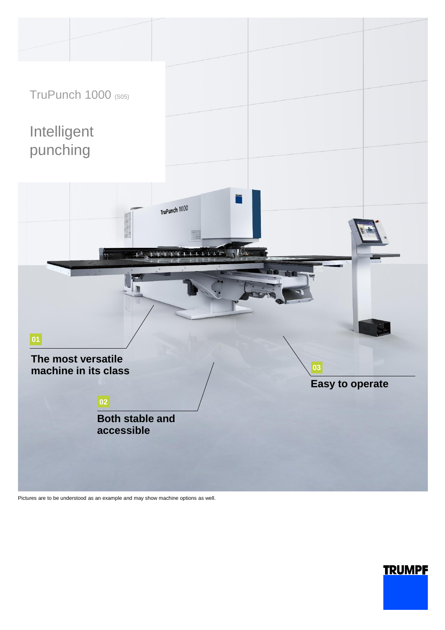

Pictures are to be understood as an example and may show machine options as well.